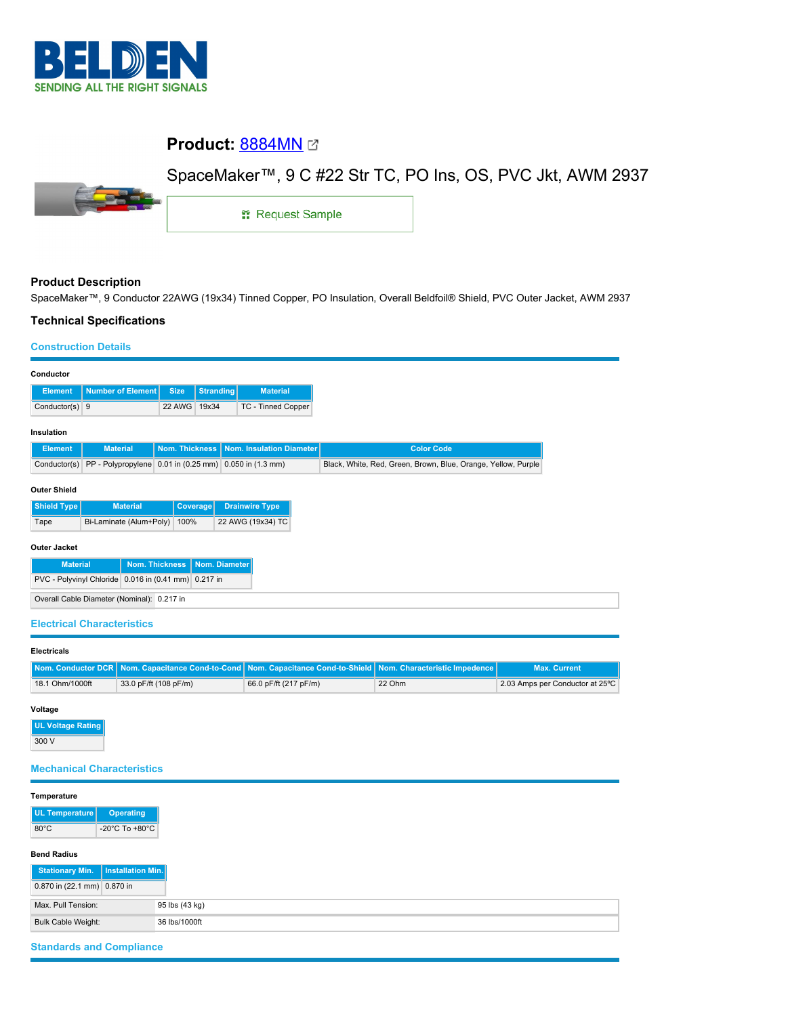

# **Product: [8884MN](https://catalog.belden.com/index.cfm?event=pd&p=PF_8884MN&tab=downloads) @**

# SpaceMaker™, 9 C #22 Str TC, PO Ins, OS, PVC Jkt, AWM 2937



1: Request Sample

## **Product Description**

SpaceMaker™, 9 Conductor 22AWG (19x34) Tinned Copper, PO Insulation, Overall Beldfoil® Shield, PVC Outer Jacket, AWM 2937

## **Technical Specifications**

#### **Construction Details**

| Conductor                                                 |                                                        |                |                  |                          |  |  |  |                   |                                                               |
|-----------------------------------------------------------|--------------------------------------------------------|----------------|------------------|--------------------------|--|--|--|-------------------|---------------------------------------------------------------|
| <b>Element</b>                                            | <b>Number of Element</b>                               | <b>Size</b>    | <b>Stranding</b> | <b>Material</b>          |  |  |  |                   |                                                               |
| Conductor(s) 9                                            |                                                        | 22 AWG         | 19x34            | TC - Tinned Copper       |  |  |  |                   |                                                               |
|                                                           |                                                        |                |                  |                          |  |  |  |                   |                                                               |
| Insulation                                                |                                                        |                |                  |                          |  |  |  |                   |                                                               |
| <b>Element</b>                                            | <b>Material</b>                                        | Nom. Thickness |                  | Nom. Insulation Diameter |  |  |  | <b>Color Code</b> |                                                               |
| Conductor(s)                                              | PP - Polypropylene 0.01 in (0.25 mm) 0.050 in (1.3 mm) |                |                  |                          |  |  |  |                   | Black, White, Red, Green, Brown, Blue, Orange, Yellow, Purple |
|                                                           |                                                        |                |                  |                          |  |  |  |                   |                                                               |
| <b>Outer Shield</b>                                       |                                                        |                |                  |                          |  |  |  |                   |                                                               |
| Shield Type                                               | <b>Material</b>                                        | Coverage       |                  | <b>Drainwire Type</b>    |  |  |  |                   |                                                               |
|                                                           | Bi-Laminate (Alum+Poly)                                | 100%           |                  | 22 AWG (19x34) TC        |  |  |  |                   |                                                               |
| Tape                                                      |                                                        |                |                  |                          |  |  |  |                   |                                                               |
| <b>Outer Jacket</b>                                       |                                                        |                |                  |                          |  |  |  |                   |                                                               |
|                                                           |                                                        |                |                  |                          |  |  |  |                   |                                                               |
| <b>Nom. Thickness</b><br>Nom. Diameter<br><b>Material</b> |                                                        |                |                  |                          |  |  |  |                   |                                                               |
| PVC - Polyvinyl Chloride 0.016 in (0.41 mm) 0.217 in      |                                                        |                |                  |                          |  |  |  |                   |                                                               |
| Overall Cable Diameter (Nominal): 0.217 in                |                                                        |                |                  |                          |  |  |  |                   |                                                               |
|                                                           |                                                        |                |                  |                          |  |  |  |                   |                                                               |

# **Electrical Characteristics**

| <b>Electricals</b> |                       |                                                                                                                |        |                                 |
|--------------------|-----------------------|----------------------------------------------------------------------------------------------------------------|--------|---------------------------------|
|                    |                       | Nom. Conductor DCR Nom. Capacitance Cond-to-Cond Nom. Capacitance Cond-to-Shield Nom. Characteristic Impedence |        | <b>Max. Current</b>             |
| 18.1 Ohm/1000ft    | 33.0 pF/ft (108 pF/m) | 66.0 pF/ft (217 pF/m)                                                                                          | 22 Ohm | 2.03 Amps per Conductor at 25°C |

#### **Voltage**

**UL Voltage Rating** 300 V

### **Mechanical Characteristics**

| Temperature                 |                   |                |
|-----------------------------|-------------------|----------------|
| UL Temperature              | <b>Operating</b>  |                |
| $80^{\circ}$ C              | -20°C To +80°C    |                |
| <b>Bend Radius</b>          |                   |                |
| <b>Stationary Min.</b>      | Installation Min. |                |
| 0.870 in (22.1 mm) 0.870 in |                   |                |
| Max. Pull Tension:          |                   | 95 lbs (43 kg) |
| Bulk Cable Weight:          |                   | 36 lbs/1000ft  |

# **Standards and Compliance**